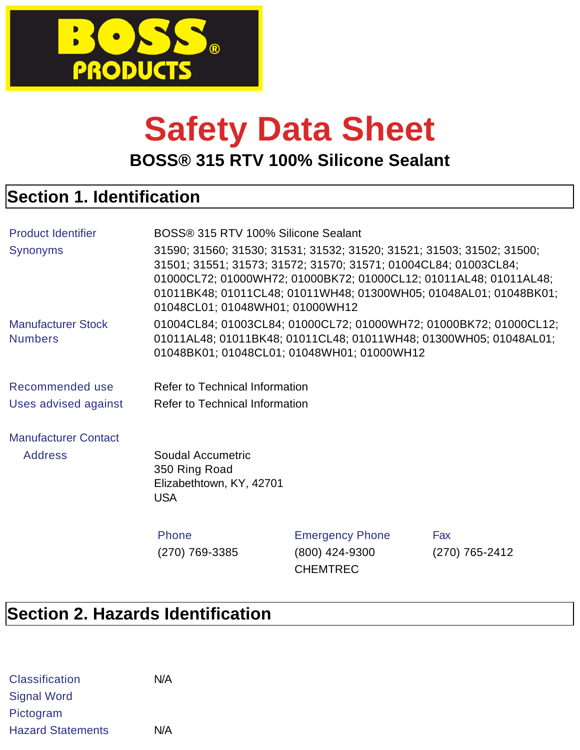

# **Safety Data Sheet**

**BOSS® 315 RTV 100% Silicone Sealant**

# **Section 1. Identification**

| <b>Product Identifier</b>                   | BOSS® 315 RTV 100% Silicone Sealant                                                                                                                                                                                                                                                                                   |                                                                                                                                                                                      |                |
|---------------------------------------------|-----------------------------------------------------------------------------------------------------------------------------------------------------------------------------------------------------------------------------------------------------------------------------------------------------------------------|--------------------------------------------------------------------------------------------------------------------------------------------------------------------------------------|----------------|
| <b>Synonyms</b>                             | 31590; 31560; 31530; 31531; 31532; 31520; 31521; 31503; 31502; 31500;<br>31501; 31551; 31573; 31572; 31570; 31571; 01004CL84; 01003CL84;<br>01000CL72; 01000WH72; 01000BK72; 01000CL12; 01011AL48; 01011AL48;<br>01011BK48; 01011CL48; 01011WH48; 01300WH05; 01048AL01; 01048BK01;<br>01048CL01; 01048WH01; 01000WH12 |                                                                                                                                                                                      |                |
| <b>Manufacturer Stock</b><br><b>Numbers</b> |                                                                                                                                                                                                                                                                                                                       | 01004CL84; 01003CL84; 01000CL72; 01000WH72; 01000BK72; 01000CL12;<br>01011AL48; 01011BK48; 01011CL48; 01011WH48; 01300WH05; 01048AL01;<br>01048BK01; 01048CL01; 01048WH01; 01000WH12 |                |
| Recommended use                             | Refer to Technical Information                                                                                                                                                                                                                                                                                        |                                                                                                                                                                                      |                |
| Uses advised against                        | Refer to Technical Information                                                                                                                                                                                                                                                                                        |                                                                                                                                                                                      |                |
| <b>Manufacturer Contact</b>                 |                                                                                                                                                                                                                                                                                                                       |                                                                                                                                                                                      |                |
| <b>Address</b>                              | Soudal Accumetric<br>350 Ring Road<br>Elizabethtown, KY, 42701<br><b>USA</b>                                                                                                                                                                                                                                          |                                                                                                                                                                                      |                |
|                                             | Phone                                                                                                                                                                                                                                                                                                                 | <b>Emergency Phone</b>                                                                                                                                                               | Fax            |
|                                             | (270) 769-3385                                                                                                                                                                                                                                                                                                        | (800) 424-9300<br><b>CHEMTREC</b>                                                                                                                                                    | (270) 765-2412 |

# **Section 2. Hazards Identification**

| <b>Classification</b>    | N/A |
|--------------------------|-----|
| <b>Signal Word</b>       |     |
| Pictogram                |     |
| <b>Hazard Statements</b> | N/A |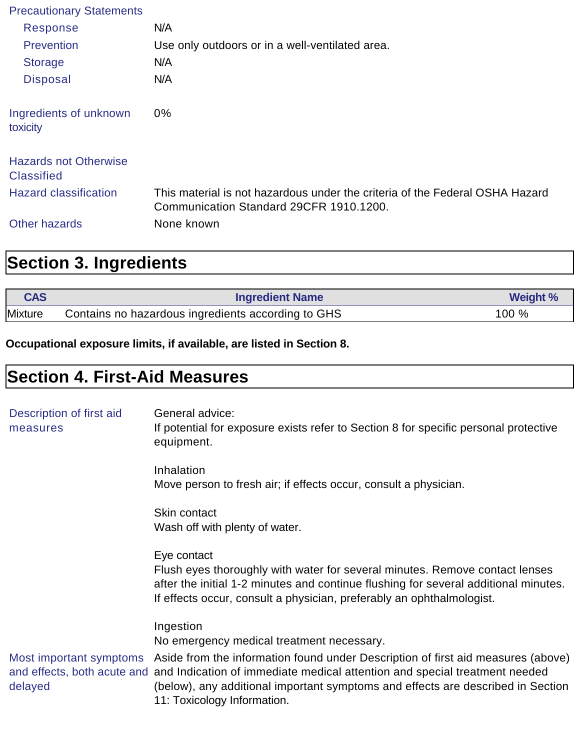| <b>Precautionary Statements</b>                   |                                                                                                                         |
|---------------------------------------------------|-------------------------------------------------------------------------------------------------------------------------|
| Response                                          | N/A                                                                                                                     |
| Prevention                                        | Use only outdoors or in a well-ventilated area.                                                                         |
| <b>Storage</b>                                    | N/A                                                                                                                     |
| <b>Disposal</b>                                   | N/A                                                                                                                     |
| Ingredients of unknown<br>toxicity                | $0\%$                                                                                                                   |
| <b>Hazards not Otherwise</b><br><b>Classified</b> |                                                                                                                         |
| <b>Hazard classification</b>                      | This material is not hazardous under the criteria of the Federal OSHA Hazard<br>Communication Standard 29CFR 1910.1200. |
| <b>Other hazards</b>                              | None known                                                                                                              |

# **Section 3. Ingredients**

| <b>CAS</b>     | <b>Ingredient Name</b>                             | <b>Weight %</b> |
|----------------|----------------------------------------------------|-----------------|
| <b>Mixture</b> | Contains no hazardous ingredients according to GHS | $100 \%$        |

**Occupational exposure limits, if available, are listed in Section 8.**

# **Section 4. First-Aid Measures**

| Description of first aid<br>measures | General advice:<br>If potential for exposure exists refer to Section 8 for specific personal protective<br>equipment.                                                                                                                                                                                                                |
|--------------------------------------|--------------------------------------------------------------------------------------------------------------------------------------------------------------------------------------------------------------------------------------------------------------------------------------------------------------------------------------|
|                                      | Inhalation<br>Move person to fresh air; if effects occur, consult a physician.                                                                                                                                                                                                                                                       |
|                                      | Skin contact<br>Wash off with plenty of water.                                                                                                                                                                                                                                                                                       |
|                                      | Eye contact<br>Flush eyes thoroughly with water for several minutes. Remove contact lenses<br>after the initial 1-2 minutes and continue flushing for several additional minutes.<br>If effects occur, consult a physician, preferably an ophthalmologist.                                                                           |
|                                      | Ingestion<br>No emergency medical treatment necessary.                                                                                                                                                                                                                                                                               |
| delayed                              | Most important symptoms Aside from the information found under Description of first aid measures (above)<br>and effects, both acute and and Indication of immediate medical attention and special treatment needed<br>(below), any additional important symptoms and effects are described in Section<br>11: Toxicology Information. |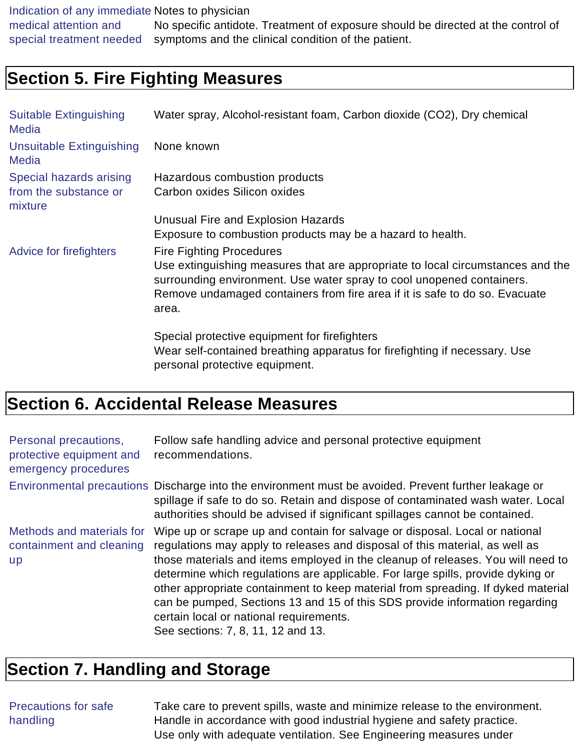Indication of any immediate Notes to physician medical attention and special treatment needed No specific antidote. Treatment of exposure should be directed at the control of symptoms and the clinical condition of the patient.

### **Section 5. Fire Fighting Measures**

| <b>Suitable Extinguishing</b><br><b>Media</b>               | Water spray, Alcohol-resistant foam, Carbon dioxide (CO2), Dry chemical                                                                                                                                                                                                            |
|-------------------------------------------------------------|------------------------------------------------------------------------------------------------------------------------------------------------------------------------------------------------------------------------------------------------------------------------------------|
| <b>Unsuitable Extinguishing</b><br><b>Media</b>             | None known                                                                                                                                                                                                                                                                         |
| Special hazards arising<br>from the substance or<br>mixture | Hazardous combustion products<br>Carbon oxides Silicon oxides                                                                                                                                                                                                                      |
|                                                             | Unusual Fire and Explosion Hazards<br>Exposure to combustion products may be a hazard to health.                                                                                                                                                                                   |
| Advice for firefighters                                     | <b>Fire Fighting Procedures</b><br>Use extinguishing measures that are appropriate to local circumstances and the<br>surrounding environment. Use water spray to cool unopened containers.<br>Remove undamaged containers from fire area if it is safe to do so. Evacuate<br>area. |
|                                                             | Special protective equipment for firefighters<br>Wear self-contained breathing apparatus for fire fighting if necessary. Use<br>personal protective equipment.                                                                                                                     |

# **Section 6. Accidental Release Measures**

| Personal precautions,<br>protective equipment and<br>emergency procedures | Follow safe handling advice and personal protective equipment<br>recommendations.                                                                                                                                                                                                                                                                                                                                                                                                                                                                                                    |
|---------------------------------------------------------------------------|--------------------------------------------------------------------------------------------------------------------------------------------------------------------------------------------------------------------------------------------------------------------------------------------------------------------------------------------------------------------------------------------------------------------------------------------------------------------------------------------------------------------------------------------------------------------------------------|
|                                                                           | Environmental precautions Discharge into the environment must be avoided. Prevent further leakage or<br>spillage if safe to do so. Retain and dispose of contaminated wash water. Local<br>authorities should be advised if significant spillages cannot be contained.                                                                                                                                                                                                                                                                                                               |
| Methods and materials for<br>containment and cleaning<br><b>up</b>        | Wipe up or scrape up and contain for salvage or disposal. Local or national<br>regulations may apply to releases and disposal of this material, as well as<br>those materials and items employed in the cleanup of releases. You will need to<br>determine which regulations are applicable. For large spills, provide dyking or<br>other appropriate containment to keep material from spreading. If dyked material<br>can be pumped, Sections 13 and 15 of this SDS provide information regarding<br>certain local or national requirements.<br>See sections: 7, 8, 11, 12 and 13. |

# **Section 7. Handling and Storage**

#### Precautions for safe handling

Take care to prevent spills, waste and minimize release to the environment. Handle in accordance with good industrial hygiene and safety practice. Use only with adequate ventilation. See Engineering measures under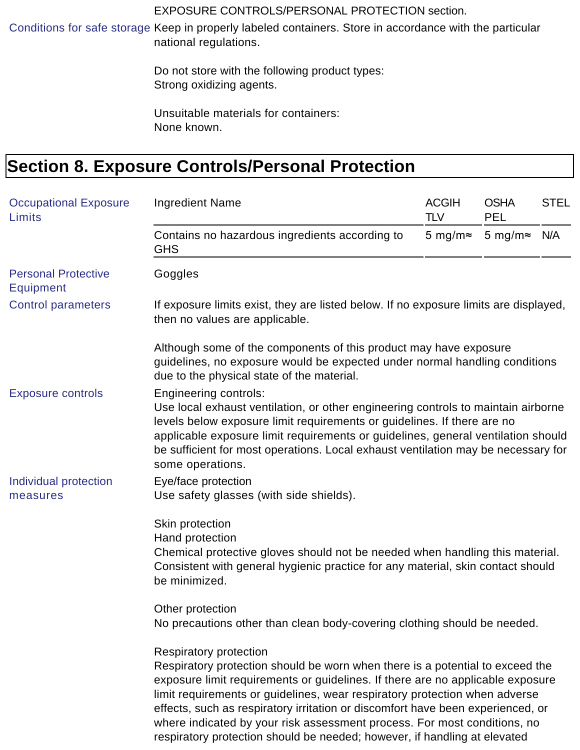#### EXPOSURE CONTROLS/PERSONAL PROTECTION section.

Conditions for safe storage Keep in properly labeled containers. Store in accordance with the particular national regulations.

> Do not store with the following product types: Strong oxidizing agents.

Unsuitable materials for containers: None known.

# **Section 8. Exposure Controls/Personal Protection**

| <b>Occupational Exposure</b><br>Limits         | <b>Ingredient Name</b>                                                                                                                                                                                                                                                                                                                                                                                                                                                                                                     | <b>ACGIH</b><br><b>TLV</b> | <b>OSHA</b><br><b>PEL</b> | <b>STEL</b> |
|------------------------------------------------|----------------------------------------------------------------------------------------------------------------------------------------------------------------------------------------------------------------------------------------------------------------------------------------------------------------------------------------------------------------------------------------------------------------------------------------------------------------------------------------------------------------------------|----------------------------|---------------------------|-------------|
|                                                | Contains no hazardous ingredients according to<br><b>GHS</b>                                                                                                                                                                                                                                                                                                                                                                                                                                                               | 5 mg/m $\approx$           | 5 mg/m $\approx$          | N/A         |
| <b>Personal Protective</b><br><b>Equipment</b> | Goggles                                                                                                                                                                                                                                                                                                                                                                                                                                                                                                                    |                            |                           |             |
| <b>Control parameters</b>                      | If exposure limits exist, they are listed below. If no exposure limits are displayed,<br>then no values are applicable.                                                                                                                                                                                                                                                                                                                                                                                                    |                            |                           |             |
|                                                | Although some of the components of this product may have exposure<br>guidelines, no exposure would be expected under normal handling conditions<br>due to the physical state of the material.                                                                                                                                                                                                                                                                                                                              |                            |                           |             |
| <b>Exposure controls</b>                       | <b>Engineering controls:</b><br>Use local exhaust ventilation, or other engineering controls to maintain airborne<br>levels below exposure limit requirements or guidelines. If there are no<br>applicable exposure limit requirements or guidelines, general ventilation should<br>be sufficient for most operations. Local exhaust ventilation may be necessary for<br>some operations.                                                                                                                                  |                            |                           |             |
| Individual protection<br>measures              | Eye/face protection<br>Use safety glasses (with side shields).                                                                                                                                                                                                                                                                                                                                                                                                                                                             |                            |                           |             |
|                                                | Skin protection<br>Hand protection<br>Chemical protective gloves should not be needed when handling this material.<br>Consistent with general hygienic practice for any material, skin contact should<br>be minimized.                                                                                                                                                                                                                                                                                                     |                            |                           |             |
|                                                | Other protection<br>No precautions other than clean body-covering clothing should be needed.                                                                                                                                                                                                                                                                                                                                                                                                                               |                            |                           |             |
|                                                | <b>Respiratory protection</b><br>Respiratory protection should be worn when there is a potential to exceed the<br>exposure limit requirements or guidelines. If there are no applicable exposure<br>limit requirements or guidelines, wear respiratory protection when adverse<br>effects, such as respiratory irritation or discomfort have been experienced, or<br>where indicated by your risk assessment process. For most conditions, no<br>respiratory protection should be needed; however, if handling at elevated |                            |                           |             |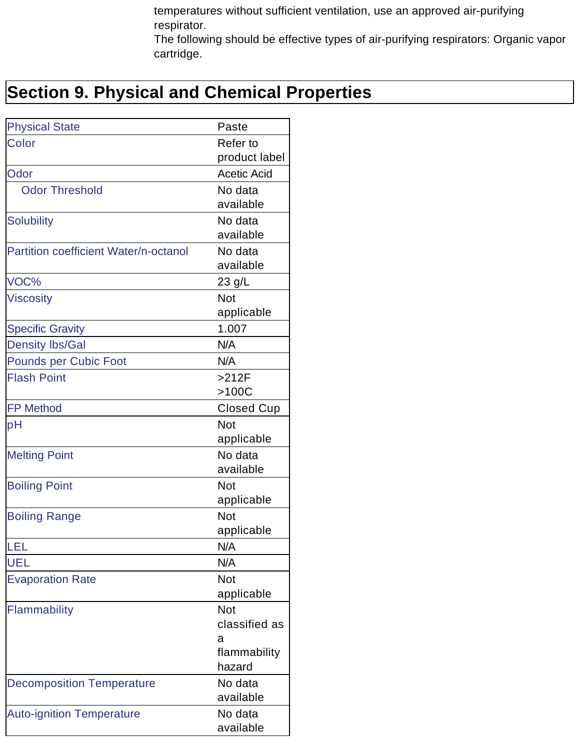temperatures without sufficient ventilation, use an approved air-purifying respirator.

The following should be effective types of air-purifying respirators: Organic vapor cartridge.

# **Section 9. Physical and Chemical Properties**

| <b>Physical State</b>                 | Paste              |
|---------------------------------------|--------------------|
| Color                                 | Refer to           |
|                                       | product label      |
| Odor                                  | <b>Acetic Acid</b> |
| <b>Odor Threshold</b>                 | No data            |
|                                       | available          |
| <b>Solubility</b>                     | No data            |
|                                       | available          |
| Partition coefficient Water/n-octanol | No data            |
|                                       | available          |
| VOC%                                  | 23 g/L             |
| <b>Viscosity</b>                      | Not                |
|                                       | applicable         |
| <b>Specific Gravity</b>               | 1.007              |
| <b>Density lbs/Gal</b>                | N/A                |
| <b>Pounds per Cubic Foot</b>          | N/A                |
| <b>Flash Point</b>                    | $>212F$            |
|                                       | >100C              |
| <b>FP Method</b>                      | <b>Closed Cup</b>  |
| рH                                    | Not                |
|                                       | applicable         |
| <b>Melting Point</b>                  | No data            |
|                                       | available          |
| <b>Boiling Point</b>                  | <b>Not</b>         |
|                                       | applicable         |
| <b>Boiling Range</b>                  | Not                |
|                                       | applicable         |
| LEL                                   | N/A                |
| UEL                                   | N/A                |
| <b>Evaporation Rate</b>               | <b>Not</b>         |
|                                       | applicable         |
| Flammability                          | Not                |
|                                       | classified as      |
|                                       | а                  |
|                                       | flammability       |
|                                       | hazard             |
| <b>Decomposition Temperature</b>      | No data            |
|                                       | available          |
| <b>Auto-ignition Temperature</b>      | No data            |
|                                       | available          |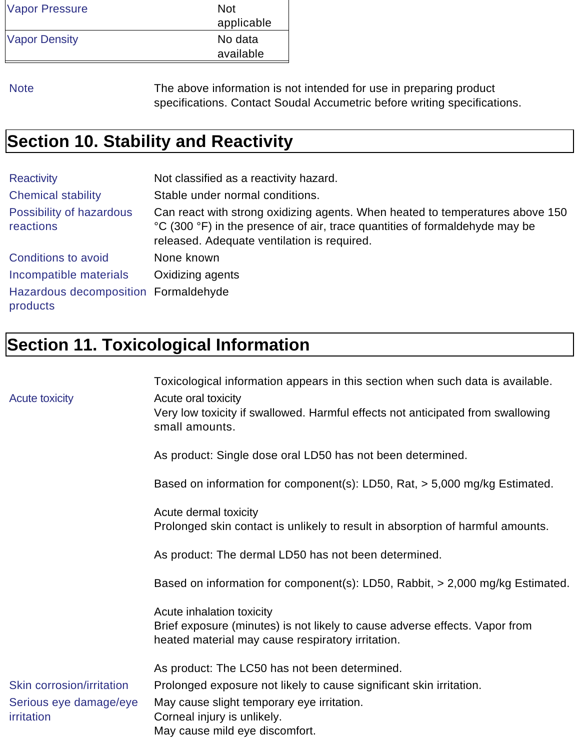| <b>Vapor Pressure</b> | <b>Not</b> |
|-----------------------|------------|
|                       | applicable |
| <b>Vapor Density</b>  | No data    |
|                       | available  |

Note The above information is not intended for use in preparing product specifications. Contact Soudal Accumetric before writing specifications.

# **Section 10. Stability and Reactivity**

| <b>Reactivity</b>                                | Not classified as a reactivity hazard.                                                                                                                                                                      |
|--------------------------------------------------|-------------------------------------------------------------------------------------------------------------------------------------------------------------------------------------------------------------|
| <b>Chemical stability</b>                        | Stable under normal conditions.                                                                                                                                                                             |
| Possibility of hazardous<br>reactions            | Can react with strong oxidizing agents. When heated to temperatures above 150<br>°C (300 °F) in the presence of air, trace quantities of formaldehyde may be<br>released. Adequate ventilation is required. |
| Conditions to avoid                              | None known                                                                                                                                                                                                  |
| Incompatible materials                           | Oxidizing agents                                                                                                                                                                                            |
| Hazardous decomposition Formaldehyde<br>products |                                                                                                                                                                                                             |

# **Section 11. Toxicological Information**

|                                      | Toxicological information appears in this section when such data is available.                                                   |
|--------------------------------------|----------------------------------------------------------------------------------------------------------------------------------|
| <b>Acute toxicity</b>                | Acute oral toxicity                                                                                                              |
|                                      | Very low toxicity if swallowed. Harmful effects not anticipated from swallowing<br>small amounts.                                |
|                                      | As product: Single dose oral LD50 has not been determined.                                                                       |
|                                      | Based on information for component(s): LD50, Rat, > 5,000 mg/kg Estimated.                                                       |
|                                      | Acute dermal toxicity<br>Prolonged skin contact is unlikely to result in absorption of harmful amounts.                          |
|                                      | As product: The dermal LD50 has not been determined.                                                                             |
|                                      | Based on information for component(s): LD50, Rabbit, > 2,000 mg/kg Estimated.                                                    |
|                                      | Acute inhalation toxicity                                                                                                        |
|                                      | Brief exposure (minutes) is not likely to cause adverse effects. Vapor from<br>heated material may cause respiratory irritation. |
|                                      | As product: The LC50 has not been determined.                                                                                    |
| Skin corrosion/irritation            | Prolonged exposure not likely to cause significant skin irritation.                                                              |
| Serious eye damage/eye<br>irritation | May cause slight temporary eye irritation.<br>Corneal injury is unlikely.                                                        |
|                                      | May cause mild eye discomfort.                                                                                                   |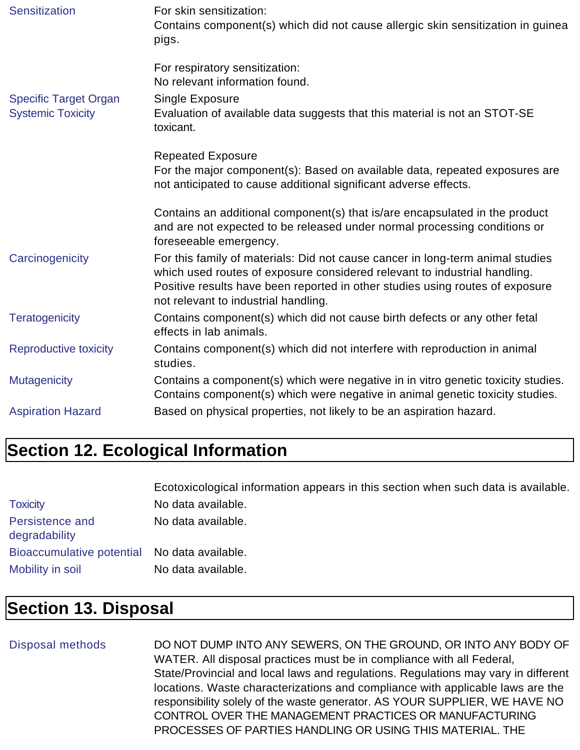| Sensitization                                            | For skin sensitization:<br>Contains component(s) which did not cause allergic skin sensitization in guinear<br>pigs.                                                                                                                                                                 |
|----------------------------------------------------------|--------------------------------------------------------------------------------------------------------------------------------------------------------------------------------------------------------------------------------------------------------------------------------------|
| <b>Specific Target Organ</b><br><b>Systemic Toxicity</b> | For respiratory sensitization:<br>No relevant information found.<br>Single Exposure<br>Evaluation of available data suggests that this material is not an STOT-SE<br>toxicant.                                                                                                       |
|                                                          | <b>Repeated Exposure</b><br>For the major component(s): Based on available data, repeated exposures are<br>not anticipated to cause additional significant adverse effects.                                                                                                          |
|                                                          | Contains an additional component(s) that is/are encapsulated in the product<br>and are not expected to be released under normal processing conditions or<br>foreseeable emergency.                                                                                                   |
| Carcinogenicity                                          | For this family of materials: Did not cause cancer in long-term animal studies<br>which used routes of exposure considered relevant to industrial handling.<br>Positive results have been reported in other studies using routes of exposure<br>not relevant to industrial handling. |
| <b>Teratogenicity</b>                                    | Contains component(s) which did not cause birth defects or any other fetal<br>effects in lab animals.                                                                                                                                                                                |
| Reproductive toxicity                                    | Contains component(s) which did not interfere with reproduction in animal<br>studies.                                                                                                                                                                                                |
| <b>Mutagenicity</b>                                      | Contains a component(s) which were negative in in vitro genetic toxicity studies.<br>Contains component(s) which were negative in animal genetic toxicity studies.                                                                                                                   |
| <b>Aspiration Hazard</b>                                 | Based on physical properties, not likely to be an aspiration hazard.                                                                                                                                                                                                                 |

# **Section 12. Ecological Information**

|                                              | Ecotoxicological information appears in this section when such data is available. |
|----------------------------------------------|-----------------------------------------------------------------------------------|
| <b>Toxicity</b>                              | No data available.                                                                |
| Persistence and<br>degradability             | No data available.                                                                |
| Bioaccumulative potential No data available. |                                                                                   |
| Mobility in soil                             | No data available.                                                                |

### **Section 13. Disposal**

#### Disposal methods DO NOT DUMP INTO ANY SEWERS, ON THE GROUND, OR INTO ANY BODY OF WATER. All disposal practices must be in compliance with all Federal, State/Provincial and local laws and regulations. Regulations may vary in different locations. Waste characterizations and compliance with applicable laws are the responsibility solely of the waste generator. AS YOUR SUPPLIER, WE HAVE NO CONTROL OVER THE MANAGEMENT PRACTICES OR MANUFACTURING PROCESSES OF PARTIES HANDLING OR USING THIS MATERIAL. THE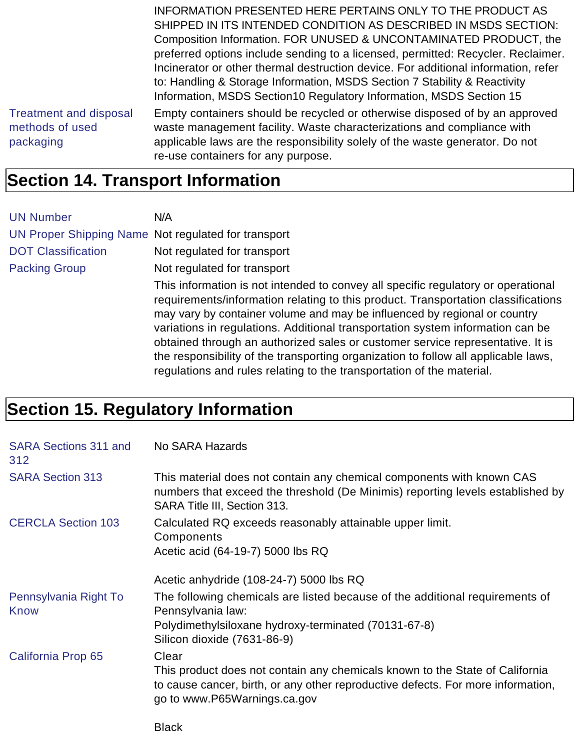INFORMATION PRESENTED HERE PERTAINS ONLY TO THE PRODUCT AS SHIPPED IN ITS INTENDED CONDITION AS DESCRIBED IN MSDS SECTION: Composition Information. FOR UNUSED & UNCONTAMINATED PRODUCT, the preferred options include sending to a licensed, permitted: Recycler. Reclaimer. Incinerator or other thermal destruction device. For additional information, refer to: Handling & Storage Information, MSDS Section 7 Stability & Reactivity Information, MSDS Section10 Regulatory Information, MSDS Section 15

Treatment and disposal methods of used packaging

Empty containers should be recycled or otherwise disposed of by an approved waste management facility. Waste characterizations and compliance with applicable laws are the responsibility solely of the waste generator. Do not re-use containers for any purpose.

### **Section 14. Transport Information**

| <b>UN Number</b>                                    | N/A                                                                                                                                                                                                                                                                                                                                                                                                                                                                                                                                                                                    |
|-----------------------------------------------------|----------------------------------------------------------------------------------------------------------------------------------------------------------------------------------------------------------------------------------------------------------------------------------------------------------------------------------------------------------------------------------------------------------------------------------------------------------------------------------------------------------------------------------------------------------------------------------------|
| UN Proper Shipping Name Not regulated for transport |                                                                                                                                                                                                                                                                                                                                                                                                                                                                                                                                                                                        |
| <b>DOT Classification</b>                           | Not regulated for transport                                                                                                                                                                                                                                                                                                                                                                                                                                                                                                                                                            |
| <b>Packing Group</b>                                | Not regulated for transport                                                                                                                                                                                                                                                                                                                                                                                                                                                                                                                                                            |
|                                                     | This information is not intended to convey all specific regulatory or operational<br>requirements/information relating to this product. Transportation classifications<br>may vary by container volume and may be influenced by regional or country<br>variations in regulations. Additional transportation system information can be<br>obtained through an authorized sales or customer service representative. It is<br>the responsibility of the transporting organization to follow all applicable laws,<br>regulations and rules relating to the transportation of the material. |

# **Section 15. Regulatory Information**

| <b>SARA Sections 311 and</b><br>312 | No SARA Hazards                                                                                                                                                                                           |
|-------------------------------------|-----------------------------------------------------------------------------------------------------------------------------------------------------------------------------------------------------------|
| <b>SARA Section 313</b>             | This material does not contain any chemical components with known CAS<br>numbers that exceed the threshold (De Minimis) reporting levels established by<br>SARA Title III, Section 313.                   |
| <b>CERCLA Section 103</b>           | Calculated RQ exceeds reasonably attainable upper limit.<br>Components<br>Acetic acid (64-19-7) 5000 lbs RQ                                                                                               |
|                                     | Acetic anhydride (108-24-7) 5000 lbs RQ                                                                                                                                                                   |
| Pennsylvania Right To<br>Know       | The following chemicals are listed because of the additional requirements of<br>Pennsylvania law:<br>Polydimethylsiloxane hydroxy-terminated (70131-67-8)                                                 |
|                                     | Silicon dioxide (7631-86-9)                                                                                                                                                                               |
| California Prop 65                  | Clear<br>This product does not contain any chemicals known to the State of California<br>to cause cancer, birth, or any other reproductive defects. For more information,<br>go to www.P65Warnings.ca.gov |
|                                     | <b>Black</b>                                                                                                                                                                                              |